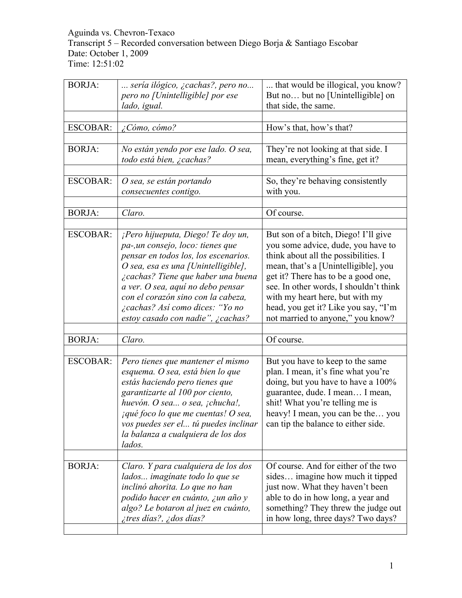#### Aguinda vs. Chevron-Texaco Transcript 5 – Recorded conversation between Diego Borja & Santiago Escobar Date: October 1, 2009 Time: 12:51:02

| <b>BORJA:</b>   | sería ilógico, ¿cachas?, pero no<br>pero no [Unintelligible] por ese<br>lado, igual.                                                                                                                                                                                                                                                            | that would be illogical, you know?<br>But no but no [Unintelligible] on<br>that side, the same.                                                                                                                                                                                                                                                             |
|-----------------|-------------------------------------------------------------------------------------------------------------------------------------------------------------------------------------------------------------------------------------------------------------------------------------------------------------------------------------------------|-------------------------------------------------------------------------------------------------------------------------------------------------------------------------------------------------------------------------------------------------------------------------------------------------------------------------------------------------------------|
| <b>ESCOBAR:</b> | ¿Cómo, cómo?                                                                                                                                                                                                                                                                                                                                    | How's that, how's that?                                                                                                                                                                                                                                                                                                                                     |
|                 |                                                                                                                                                                                                                                                                                                                                                 |                                                                                                                                                                                                                                                                                                                                                             |
| <b>BORJA:</b>   | No están yendo por ese lado. O sea,<br>todo está bien, ¿cachas?                                                                                                                                                                                                                                                                                 | They're not looking at that side. I<br>mean, everything's fine, get it?                                                                                                                                                                                                                                                                                     |
| <b>ESCOBAR:</b> | O sea, se están portando<br>consecuentes contigo.                                                                                                                                                                                                                                                                                               | So, they're behaving consistently<br>with you.                                                                                                                                                                                                                                                                                                              |
|                 |                                                                                                                                                                                                                                                                                                                                                 |                                                                                                                                                                                                                                                                                                                                                             |
| <b>BORJA:</b>   | Claro.                                                                                                                                                                                                                                                                                                                                          | Of course.                                                                                                                                                                                                                                                                                                                                                  |
| <b>ESCOBAR:</b> | ¡Pero hijueputa, Diego! Te doy un,<br>pa-, un consejo, loco: tienes que<br>pensar en todos los, los escenarios.<br>O sea, esa es una [Unintelligible],<br>¿cachas? Tiene que haber una buena<br>a ver. O sea, aquí no debo pensar<br>con el corazón sino con la cabeza,<br>¿cachas? Así como dices: "Yo no<br>estoy casado con nadie", ¿cachas? | But son of a bitch, Diego! I'll give<br>you some advice, dude, you have to<br>think about all the possibilities. I<br>mean, that's a [Unintelligible], you<br>get it? There has to be a good one,<br>see. In other words, I shouldn't think<br>with my heart here, but with my<br>head, you get it? Like you say, "I'm<br>not married to anyone," you know? |
| <b>BORJA:</b>   | Claro.                                                                                                                                                                                                                                                                                                                                          | Of course.                                                                                                                                                                                                                                                                                                                                                  |
|                 |                                                                                                                                                                                                                                                                                                                                                 |                                                                                                                                                                                                                                                                                                                                                             |
| <b>ESCOBAR:</b> | Pero tienes que mantener el mismo<br>esquema. O sea, está bien lo que<br>estás haciendo pero tienes que<br>garantizarte al 100 por ciento,<br>huevón. O sea o sea, jchucha!,<br><i>iqué foco lo que me cuentas! O sea,</i><br>vos puedes ser el tú puedes inclinar<br>la balanza a cualquiera de los dos<br>lados.                              | But you have to keep to the same<br>plan. I mean, it's fine what you're<br>doing, but you have to have a 100%<br>guarantee, dude. I mean I mean,<br>shit! What you're telling me is<br>heavy! I mean, you can be the you<br>can tip the balance to either side.                                                                                             |
|                 |                                                                                                                                                                                                                                                                                                                                                 |                                                                                                                                                                                                                                                                                                                                                             |
| <b>BORJA:</b>   | Claro. Y para cualquiera de los dos<br>lados imagínate todo lo que se<br>inclinó ahorita. Lo que no han<br>podido hacer en cuánto, ¿un año y<br>algo? Le botaron al juez en cuánto,<br>itres días?, idos días?                                                                                                                                  | Of course. And for either of the two<br>sides imagine how much it tipped<br>just now. What they haven't been<br>able to do in how long, a year and<br>something? They threw the judge out<br>in how long, three days? Two days?                                                                                                                             |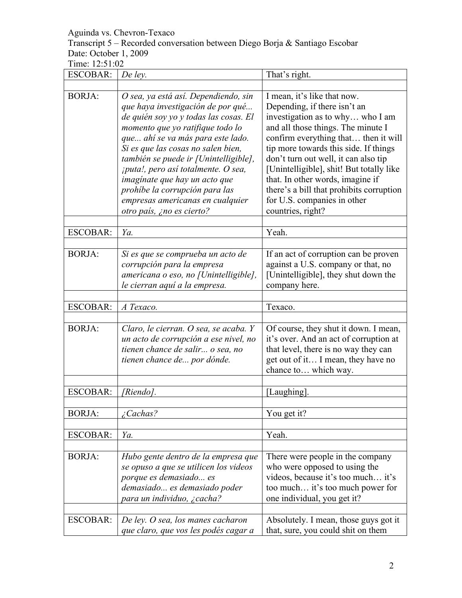Transcript 5 – Recorded conversation between Diego Borja & Santiago Escobar Date: October 1, 2009

| <b>ESCOBAR:</b> | De ley.                                                                                                                                                                                                                                                                                                                                                                                                                                               | That's right.                                                                                                                                                                                                                                                                                                                                                                                                                                  |
|-----------------|-------------------------------------------------------------------------------------------------------------------------------------------------------------------------------------------------------------------------------------------------------------------------------------------------------------------------------------------------------------------------------------------------------------------------------------------------------|------------------------------------------------------------------------------------------------------------------------------------------------------------------------------------------------------------------------------------------------------------------------------------------------------------------------------------------------------------------------------------------------------------------------------------------------|
|                 |                                                                                                                                                                                                                                                                                                                                                                                                                                                       |                                                                                                                                                                                                                                                                                                                                                                                                                                                |
| <b>BORJA:</b>   | O sea, ya está así. Dependiendo, sin<br>que haya investigación de por qué<br>de quién soy yo y todas las cosas. El<br>momento que yo ratifique todo lo<br>que ahí se va más para este lado.<br>Si es que las cosas no salen bien,<br>también se puede ir [Unintelligible],<br>¡puta!, pero así totalmente. O sea,<br>imaginate que hay un acto que<br>prohíbe la corrupción para las<br>empresas americanas en cualquier<br>otro país, ¿no es cierto? | I mean, it's like that now.<br>Depending, if there isn't an<br>investigation as to why who I am<br>and all those things. The minute I<br>confirm everything that then it will<br>tip more towards this side. If things<br>don't turn out well, it can also tip<br>[Unintelligible], shit! But totally like<br>that. In other words, imagine if<br>there's a bill that prohibits corruption<br>for U.S. companies in other<br>countries, right? |
| <b>ESCOBAR:</b> | Ya.                                                                                                                                                                                                                                                                                                                                                                                                                                                   | Yeah.                                                                                                                                                                                                                                                                                                                                                                                                                                          |
|                 |                                                                                                                                                                                                                                                                                                                                                                                                                                                       |                                                                                                                                                                                                                                                                                                                                                                                                                                                |
| <b>BORJA:</b>   | Si es que se comprueba un acto de<br>corrupción para la empresa<br>americana o eso, no [Unintelligible],<br>le cierran aquí a la empresa.                                                                                                                                                                                                                                                                                                             | If an act of corruption can be proven<br>against a U.S. company or that, no<br>[Unintelligible], they shut down the<br>company here.                                                                                                                                                                                                                                                                                                           |
| <b>ESCOBAR:</b> | A Texaco.                                                                                                                                                                                                                                                                                                                                                                                                                                             | Texaco.                                                                                                                                                                                                                                                                                                                                                                                                                                        |
| <b>BORJA:</b>   | Claro, le cierran. O sea, se acaba. Y<br>un acto de corrupción a ese nivel, no<br>tienen chance de salir o sea, no<br>tienen chance de por dónde.                                                                                                                                                                                                                                                                                                     | Of course, they shut it down. I mean,<br>it's over. And an act of corruption at<br>that level, there is no way they can<br>get out of it I mean, they have no<br>chance to which way.                                                                                                                                                                                                                                                          |
| <b>ESCOBAR:</b> | [Riendo].                                                                                                                                                                                                                                                                                                                                                                                                                                             | [Laughing]                                                                                                                                                                                                                                                                                                                                                                                                                                     |
| <b>BORJA:</b>   | $\angle$ Cachas?                                                                                                                                                                                                                                                                                                                                                                                                                                      | You get it?                                                                                                                                                                                                                                                                                                                                                                                                                                    |
| <b>ESCOBAR:</b> | Ya.                                                                                                                                                                                                                                                                                                                                                                                                                                                   | Yeah.                                                                                                                                                                                                                                                                                                                                                                                                                                          |
| <b>BORJA:</b>   | Hubo gente dentro de la empresa que<br>se opuso a que se utilicen los videos<br>porque es demasiado es<br>demasiado es demasiado poder<br>para un individuo, ¿cacha?                                                                                                                                                                                                                                                                                  | There were people in the company<br>who were opposed to using the<br>videos, because it's too much it's<br>too much it's too much power for<br>one individual, you get it?                                                                                                                                                                                                                                                                     |
| <b>ESCOBAR:</b> | De ley. O sea, los manes cacharon<br>que claro, que vos les podés cagar a                                                                                                                                                                                                                                                                                                                                                                             | Absolutely. I mean, those guys got it<br>that, sure, you could shit on them                                                                                                                                                                                                                                                                                                                                                                    |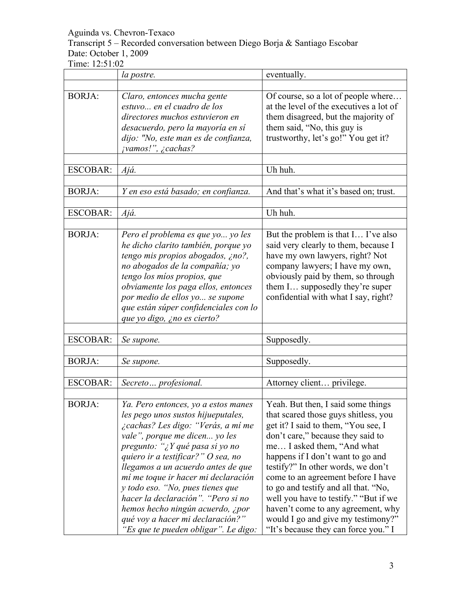Transcript 5 – Recorded conversation between Diego Borja & Santiago Escobar Date: October 1, 2009

|                 | la postre.                                                                                                                                                                                                                                                                                                                                                                                                                                                                                       | eventually.                                                                                                                                                                                                                                                                                                                                                                                                                                                                                                |
|-----------------|--------------------------------------------------------------------------------------------------------------------------------------------------------------------------------------------------------------------------------------------------------------------------------------------------------------------------------------------------------------------------------------------------------------------------------------------------------------------------------------------------|------------------------------------------------------------------------------------------------------------------------------------------------------------------------------------------------------------------------------------------------------------------------------------------------------------------------------------------------------------------------------------------------------------------------------------------------------------------------------------------------------------|
|                 |                                                                                                                                                                                                                                                                                                                                                                                                                                                                                                  |                                                                                                                                                                                                                                                                                                                                                                                                                                                                                                            |
| <b>BORJA:</b>   | Claro, entonces mucha gente<br>estuvo en el cuadro de los<br>directores muchos estuvieron en<br>desacuerdo, pero la mayoría en sí<br>dijo: "No, este man es de confianza,<br><i>jvamos!", ¿cachas?</i>                                                                                                                                                                                                                                                                                           | Of course, so a lot of people where<br>at the level of the executives a lot of<br>them disagreed, but the majority of<br>them said, "No, this guy is<br>trustworthy, let's go!" You get it?                                                                                                                                                                                                                                                                                                                |
| <b>ESCOBAR:</b> | Ajá.                                                                                                                                                                                                                                                                                                                                                                                                                                                                                             | Uh huh.                                                                                                                                                                                                                                                                                                                                                                                                                                                                                                    |
| <b>BORJA:</b>   | Y en eso está basado; en confianza.                                                                                                                                                                                                                                                                                                                                                                                                                                                              | And that's what it's based on; trust.                                                                                                                                                                                                                                                                                                                                                                                                                                                                      |
| <b>ESCOBAR:</b> | Ajá.                                                                                                                                                                                                                                                                                                                                                                                                                                                                                             | Uh huh.                                                                                                                                                                                                                                                                                                                                                                                                                                                                                                    |
| <b>BORJA:</b>   | Pero el problema es que yo yo les<br>he dicho clarito también, porque yo<br>tengo mis propios abogados, ¿no?,<br>no abogados de la compañía; yo<br>tengo los míos propios, que<br>obviamente los paga ellos, entonces<br>por medio de ellos yo se supone<br>que están súper confidenciales con lo<br>que yo digo, ¿no es cierto?                                                                                                                                                                 | But the problem is that I I've also<br>said very clearly to them, because I<br>have my own lawyers, right? Not<br>company lawyers; I have my own,<br>obviously paid by them, so through<br>them I supposedly they're super<br>confidential with what I say, right?                                                                                                                                                                                                                                         |
| <b>ESCOBAR:</b> | Se supone.                                                                                                                                                                                                                                                                                                                                                                                                                                                                                       | Supposedly.                                                                                                                                                                                                                                                                                                                                                                                                                                                                                                |
|                 |                                                                                                                                                                                                                                                                                                                                                                                                                                                                                                  |                                                                                                                                                                                                                                                                                                                                                                                                                                                                                                            |
| <b>BORJA:</b>   | Se supone.                                                                                                                                                                                                                                                                                                                                                                                                                                                                                       | Supposedly.                                                                                                                                                                                                                                                                                                                                                                                                                                                                                                |
| <b>ESCOBAR:</b> | Secreto profesional.                                                                                                                                                                                                                                                                                                                                                                                                                                                                             | Attorney client privilege.                                                                                                                                                                                                                                                                                                                                                                                                                                                                                 |
| <b>BORJA:</b>   | Ya. Pero entonces, yo a estos manes<br>les pego unos sustos hijueputales,<br>¿cachas? Les digo: "Verás, a mí me<br>vale", porque me dicen yo les<br>pregunto: "¿Y qué pasa si yo no<br>quiero ir a testificar?" O sea, no<br>llegamos a un acuerdo antes de que<br>mí me toque ir hacer mi declaración<br>y todo eso. "No, pues tienes que<br>hacer la declaración". "Pero si no<br>hemos hecho ningún acuerdo, ¿por<br>qué voy a hacer mi declaración?"<br>"Es que te pueden obligar". Le digo: | Yeah. But then, I said some things<br>that scared those guys shitless, you<br>get it? I said to them, "You see, I<br>don't care," because they said to<br>me I asked them, "And what<br>happens if I don't want to go and<br>testify?" In other words, we don't<br>come to an agreement before I have<br>to go and testify and all that. "No,<br>well you have to testify." "But if we<br>haven't come to any agreement, why<br>would I go and give my testimony?"<br>"It's because they can force you." I |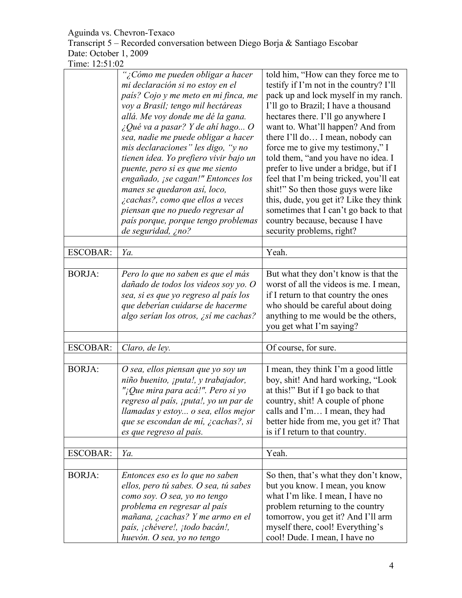Transcript 5 – Recorded conversation between Diego Borja & Santiago Escobar Date: October 1, 2009

|                 | "¿Cómo me pueden obligar a hacer<br>mi declaración si no estoy en el<br>país? Cojo y me meto en mi finca, me<br>voy a Brasil; tengo mil hectáreas<br>allá. Me voy donde me dé la gana.<br>¿Qué va a pasar? Y de ahí hago O<br>sea, nadie me puede obligar a hacer<br>mis declaraciones" les digo, "y no<br>tienen idea. Yo prefiero vivir bajo un<br>puente, pero si es que me siento<br>engañado, ¡se cagan!" Entonces los<br>manes se quedaron así, loco,<br><i>i</i> cachas?, como que ellos a veces<br>piensan que no puedo regresar al<br>país porque, porque tengo problemas<br>de seguridad, ¿no? | told him, "How can they force me to<br>testify if I'm not in the country? I'll<br>pack up and lock myself in my ranch.<br>I'll go to Brazil; I have a thousand<br>hectares there. I'll go anywhere I<br>want to. What'll happen? And from<br>there I'll do I mean, nobody can<br>force me to give my testimony," I<br>told them, "and you have no idea. I<br>prefer to live under a bridge, but if I<br>feel that I'm being tricked, you'll eat<br>shit!" So then those guys were like<br>this, dude, you get it? Like they think<br>sometimes that I can't go back to that<br>country because, because I have<br>security problems, right? |
|-----------------|----------------------------------------------------------------------------------------------------------------------------------------------------------------------------------------------------------------------------------------------------------------------------------------------------------------------------------------------------------------------------------------------------------------------------------------------------------------------------------------------------------------------------------------------------------------------------------------------------------|---------------------------------------------------------------------------------------------------------------------------------------------------------------------------------------------------------------------------------------------------------------------------------------------------------------------------------------------------------------------------------------------------------------------------------------------------------------------------------------------------------------------------------------------------------------------------------------------------------------------------------------------|
| <b>ESCOBAR:</b> | Ya.                                                                                                                                                                                                                                                                                                                                                                                                                                                                                                                                                                                                      | Yeah.                                                                                                                                                                                                                                                                                                                                                                                                                                                                                                                                                                                                                                       |
|                 |                                                                                                                                                                                                                                                                                                                                                                                                                                                                                                                                                                                                          |                                                                                                                                                                                                                                                                                                                                                                                                                                                                                                                                                                                                                                             |
| <b>BORJA:</b>   | Pero lo que no saben es que el más<br>dañado de todos los videos soy yo. O<br>sea, si es que yo regreso al país los<br>que deberían cuidarse de hacerme<br>algo serían los otros, ¿sí me cachas?                                                                                                                                                                                                                                                                                                                                                                                                         | But what they don't know is that the<br>worst of all the videos is me. I mean,<br>if I return to that country the ones<br>who should be careful about doing<br>anything to me would be the others,<br>you get what I'm saying?                                                                                                                                                                                                                                                                                                                                                                                                              |
|                 |                                                                                                                                                                                                                                                                                                                                                                                                                                                                                                                                                                                                          |                                                                                                                                                                                                                                                                                                                                                                                                                                                                                                                                                                                                                                             |
| <b>ESCOBAR:</b> | Claro, de ley.                                                                                                                                                                                                                                                                                                                                                                                                                                                                                                                                                                                           | Of course, for sure.                                                                                                                                                                                                                                                                                                                                                                                                                                                                                                                                                                                                                        |
| <b>BORJA:</b>   | O sea, ellos piensan que yo soy un<br>niño buenito, ¡puta!, y trabajador,<br>"¡Que mira para acá!". Pero si yo<br>regreso al país, ¡puta!, yo un par de<br>llamadas y estoy o sea, ellos mejor<br>que se escondan de mí, ¿cachas?, si<br>es que regreso al país.                                                                                                                                                                                                                                                                                                                                         | I mean, they think I'm a good little<br>boy, shit! And hard working, "Look<br>at this!" But if I go back to that<br>country, shit! A couple of phone<br>calls and I'm I mean, they had<br>better hide from me, you get it? That<br>is if I return to that country.                                                                                                                                                                                                                                                                                                                                                                          |
| <b>ESCOBAR:</b> | Ya.                                                                                                                                                                                                                                                                                                                                                                                                                                                                                                                                                                                                      | Yeah.                                                                                                                                                                                                                                                                                                                                                                                                                                                                                                                                                                                                                                       |
|                 |                                                                                                                                                                                                                                                                                                                                                                                                                                                                                                                                                                                                          |                                                                                                                                                                                                                                                                                                                                                                                                                                                                                                                                                                                                                                             |
| <b>BORJA:</b>   | Entonces eso es lo que no saben<br>ellos, pero tú sabes. O sea, tú sabes<br>como soy. O sea, yo no tengo<br>problema en regresar al país<br>mañana, ¿cachas? Y me armo en el<br>país, ¡chévere!, ¡todo bacán!,<br>huevón. O sea, yo no tengo                                                                                                                                                                                                                                                                                                                                                             | So then, that's what they don't know,<br>but you know. I mean, you know<br>what I'm like. I mean, I have no<br>problem returning to the country<br>tomorrow, you get it? And I'll arm<br>myself there, cool! Everything's<br>cool! Dude. I mean, I have no                                                                                                                                                                                                                                                                                                                                                                                  |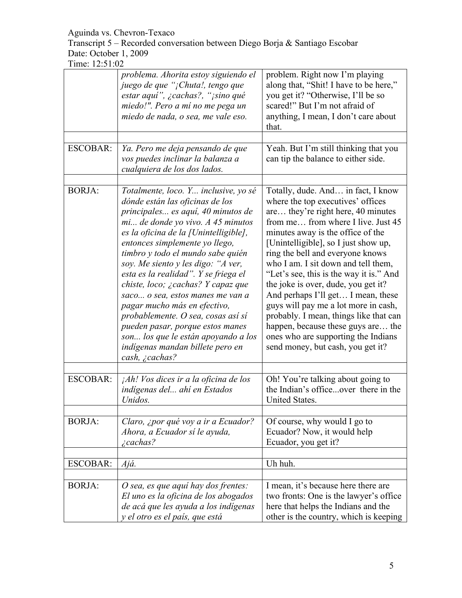Transcript 5 – Recorded conversation between Diego Borja & Santiago Escobar Date: October 1, 2009

|                 | problema. Ahorita estoy siguiendo el<br>juego de que "¡Chuta!, tengo que<br>estar aquí", ¿cachas?, "¡sino qué<br>miedo!". Pero a mí no me pega un<br>miedo de nada, o sea, me vale eso.                                                                                                                                                                                                                                                                                                                                                                                                                                                     | problem. Right now I'm playing<br>along that, "Shit! I have to be here,"<br>you get it? "Otherwise, I'll be so<br>scared!" But I'm not afraid of<br>anything, I mean, I don't care about<br>that.                                                                                                                                                                                                                                                                                                                                                                                                                                       |
|-----------------|---------------------------------------------------------------------------------------------------------------------------------------------------------------------------------------------------------------------------------------------------------------------------------------------------------------------------------------------------------------------------------------------------------------------------------------------------------------------------------------------------------------------------------------------------------------------------------------------------------------------------------------------|-----------------------------------------------------------------------------------------------------------------------------------------------------------------------------------------------------------------------------------------------------------------------------------------------------------------------------------------------------------------------------------------------------------------------------------------------------------------------------------------------------------------------------------------------------------------------------------------------------------------------------------------|
| <b>ESCOBAR:</b> | Ya. Pero me deja pensando de que<br>vos puedes inclinar la balanza a<br>cualquiera de los dos lados.                                                                                                                                                                                                                                                                                                                                                                                                                                                                                                                                        | Yeah. But I'm still thinking that you<br>can tip the balance to either side.                                                                                                                                                                                                                                                                                                                                                                                                                                                                                                                                                            |
|                 |                                                                                                                                                                                                                                                                                                                                                                                                                                                                                                                                                                                                                                             |                                                                                                                                                                                                                                                                                                                                                                                                                                                                                                                                                                                                                                         |
| <b>BORJA:</b>   | Totalmente, loco. Y inclusive, yo sé<br>dónde están las oficinas de los<br>principales es aquí, 40 minutos de<br>$mi$ de donde yo vivo. A 45 minutos<br>es la oficina de la [Unintelligible],<br>entonces simplemente yo llego,<br>timbro y todo el mundo sabe quién<br>soy. Me siento y les digo: "A ver,<br>esta es la realidad". Y se friega el<br>chiste, loco; ¿cachas? Y capaz que<br>saco o sea, estos manes me van a<br>pagar mucho más en efectivo,<br>probablemente. O sea, cosas así sí<br>pueden pasar, porque estos manes<br>son los que le están apoyando a los<br>indígenas mandan billete pero en<br>cash, <i>i</i> cachas? | Totally, dude. And in fact, I know<br>where the top executives' offices<br>are they're right here, 40 minutes<br>from me from where I live. Just 45<br>minutes away is the office of the<br>[Unintelligible], so I just show up,<br>ring the bell and everyone knows<br>who I am. I sit down and tell them,<br>"Let's see, this is the way it is." And<br>the joke is over, dude, you get it?<br>And perhaps I'll get I mean, these<br>guys will pay me a lot more in cash,<br>probably. I mean, things like that can<br>happen, because these guys are the<br>ones who are supporting the Indians<br>send money, but cash, you get it? |
|                 |                                                                                                                                                                                                                                                                                                                                                                                                                                                                                                                                                                                                                                             |                                                                                                                                                                                                                                                                                                                                                                                                                                                                                                                                                                                                                                         |
| <b>ESCOBAR:</b> | ¡Ah! Vos dices ir a la oficina de los<br>indígenas del ahí en Estados<br>Unidos.                                                                                                                                                                                                                                                                                                                                                                                                                                                                                                                                                            | Oh! You're talking about going to<br>the Indian's officeover there in the<br>United States.                                                                                                                                                                                                                                                                                                                                                                                                                                                                                                                                             |
|                 |                                                                                                                                                                                                                                                                                                                                                                                                                                                                                                                                                                                                                                             |                                                                                                                                                                                                                                                                                                                                                                                                                                                                                                                                                                                                                                         |
| <b>BORJA:</b>   | Claro, ¿por qué voy a ir a Ecuador?<br>Ahora, a Ecuador sí le ayuda,<br>$i$ cachas?                                                                                                                                                                                                                                                                                                                                                                                                                                                                                                                                                         | Of course, why would I go to<br>Ecuador? Now, it would help<br>Ecuador, you get it?                                                                                                                                                                                                                                                                                                                                                                                                                                                                                                                                                     |
|                 |                                                                                                                                                                                                                                                                                                                                                                                                                                                                                                                                                                                                                                             |                                                                                                                                                                                                                                                                                                                                                                                                                                                                                                                                                                                                                                         |
| <b>ESCOBAR:</b> | Ajá.                                                                                                                                                                                                                                                                                                                                                                                                                                                                                                                                                                                                                                        | Uh huh.                                                                                                                                                                                                                                                                                                                                                                                                                                                                                                                                                                                                                                 |
|                 |                                                                                                                                                                                                                                                                                                                                                                                                                                                                                                                                                                                                                                             |                                                                                                                                                                                                                                                                                                                                                                                                                                                                                                                                                                                                                                         |
| <b>BORJA:</b>   | O sea, es que aquí hay dos frentes:<br>El uno es la oficina de los abogados<br>de acá que les ayuda a los indígenas<br>y el otro es el país, que está                                                                                                                                                                                                                                                                                                                                                                                                                                                                                       | I mean, it's because here there are<br>two fronts: One is the lawyer's office<br>here that helps the Indians and the<br>other is the country, which is keeping                                                                                                                                                                                                                                                                                                                                                                                                                                                                          |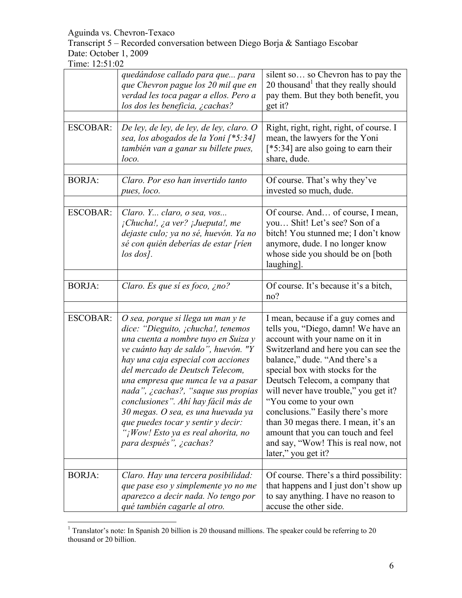Transcript 5 – Recorded conversation between Diego Borja & Santiago Escobar Date: October 1, 2009

|                 | quedándose callado para que para<br>que Chevron pague los 20 mil que en<br>verdad les toca pagar a ellos. Pero a<br>los dos les beneficia, ¿cachas?                                                                                                                                                                                                                                                                                                                                               | silent so so Chevron has to pay the<br>20 thousand that they really should<br>pay them. But they both benefit, you<br>get it?                                                                                                                                                                                                                                                                                                                                                                                    |
|-----------------|---------------------------------------------------------------------------------------------------------------------------------------------------------------------------------------------------------------------------------------------------------------------------------------------------------------------------------------------------------------------------------------------------------------------------------------------------------------------------------------------------|------------------------------------------------------------------------------------------------------------------------------------------------------------------------------------------------------------------------------------------------------------------------------------------------------------------------------------------------------------------------------------------------------------------------------------------------------------------------------------------------------------------|
| <b>ESCOBAR:</b> | De ley, de ley, de ley, de ley, claro. O<br>sea, los abogados de la Yoni [*5:34]<br>también van a ganar su billete pues,<br>loco.                                                                                                                                                                                                                                                                                                                                                                 | Right, right, right, right, of course. I<br>mean, the lawyers for the Yoni<br>[*5:34] are also going to earn their<br>share, dude.                                                                                                                                                                                                                                                                                                                                                                               |
| <b>BORJA:</b>   | Claro. Por eso han invertido tanto<br>pues, loco.                                                                                                                                                                                                                                                                                                                                                                                                                                                 | Of course. That's why they've<br>invested so much, dude.                                                                                                                                                                                                                                                                                                                                                                                                                                                         |
| <b>ESCOBAR:</b> | Claro. Y claro, o sea, vos<br><i>i</i> Chucha!, ¿a ver? <i>iJueputa!</i> , me<br>dejaste culo; ya no sé, huevón. Ya no<br>sé con quién deberías de estar [ríen<br>$\log$ dos].                                                                                                                                                                                                                                                                                                                    | Of course. And of course, I mean,<br>you Shit! Let's see? Son of a<br>bitch! You stunned me; I don't know<br>anymore, dude. I no longer know<br>whose side you should be on [both]<br>laughing].                                                                                                                                                                                                                                                                                                                 |
| <b>BORJA:</b>   | Claro. Es que sí es foco, ¿no?                                                                                                                                                                                                                                                                                                                                                                                                                                                                    | Of course. It's because it's a bitch,<br>no?                                                                                                                                                                                                                                                                                                                                                                                                                                                                     |
| <b>ESCOBAR:</b> | O sea, porque si llega un man y te<br>dice: "Dieguito, ¡chucha!, tenemos<br>una cuenta a nombre tuyo en Suiza y<br>ve cuánto hay de saldo", huevón. "Y<br>hay una caja especial con acciones<br>del mercado de Deutsch Telecom,<br>una empresa que nunca le va a pasar<br>nada", ¿cachas?, "saque sus propias<br>conclusiones". Ahí hay fácil más de<br>30 megas. O sea, es una huevada ya<br>que puedes tocar y sentir y decir:<br>"¡Wow! Esto ya es real ahorita, no<br>para después", ¿cachas? | I mean, because if a guy comes and<br>tells you, "Diego, damn! We have an<br>account with your name on it in<br>Switzerland and here you can see the<br>balance," dude. "And there's a<br>special box with stocks for the<br>Deutsch Telecom, a company that<br>will never have trouble," you get it?<br>"You come to your own<br>conclusions." Easily there's more<br>than 30 megas there. I mean, it's an<br>amount that you can touch and feel<br>and say, "Wow! This is real now, not<br>later," you get it? |
| <b>BORJA:</b>   | Claro. Hay una tercera posibilidad:<br>que pase eso y simplemente yo no me<br>aparezco a decir nada. No tengo por<br>qué también cagarle al otro.                                                                                                                                                                                                                                                                                                                                                 | Of course. There's a third possibility:<br>that happens and I just don't show up<br>to say anything. I have no reason to<br>accuse the other side.                                                                                                                                                                                                                                                                                                                                                               |

<sup>&</sup>lt;sup>1</sup> Translator's note: In Spanish 20 billion is 20 thousand millions. The speaker could be referring to 20 thousand or 20 billion.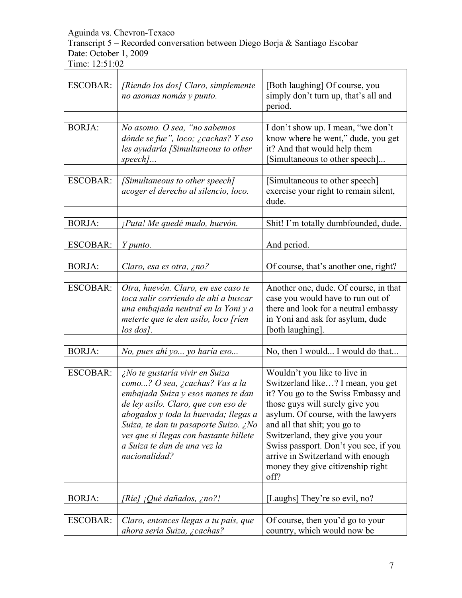Transcript 5 – Recorded conversation between Diego Borja & Santiago Escobar Date: October 1, 2009

| <b>ESCOBAR:</b> | [Riendo los dos] Claro, simplemente<br>no asomas nomás y punto.                                                                                                                                                                                                                                                                         | [Both laughing] Of course, you<br>simply don't turn up, that's all and<br>period.                                                                                                                                                                                                                                                                                                |
|-----------------|-----------------------------------------------------------------------------------------------------------------------------------------------------------------------------------------------------------------------------------------------------------------------------------------------------------------------------------------|----------------------------------------------------------------------------------------------------------------------------------------------------------------------------------------------------------------------------------------------------------------------------------------------------------------------------------------------------------------------------------|
|                 |                                                                                                                                                                                                                                                                                                                                         |                                                                                                                                                                                                                                                                                                                                                                                  |
| <b>BORJA:</b>   | No asomo. O sea, "no sabemos<br>dónde se fue", loco; ¿cachas? Y eso<br>les ayudaría [Simultaneous to other<br>$speed$                                                                                                                                                                                                                   | I don't show up. I mean, "we don't<br>know where he went," dude, you get<br>it? And that would help them<br>Simultaneous to other speech]                                                                                                                                                                                                                                        |
|                 |                                                                                                                                                                                                                                                                                                                                         |                                                                                                                                                                                                                                                                                                                                                                                  |
| <b>ESCOBAR:</b> | [Simultaneous to other speech]<br>acoger el derecho al silencio, loco.                                                                                                                                                                                                                                                                  | [Simultaneous to other speech]<br>exercise your right to remain silent,<br>dude.                                                                                                                                                                                                                                                                                                 |
|                 |                                                                                                                                                                                                                                                                                                                                         |                                                                                                                                                                                                                                                                                                                                                                                  |
| <b>BORJA:</b>   | ¡Puta! Me quedé mudo, huevón.                                                                                                                                                                                                                                                                                                           | Shit! I'm totally dumbfounded, dude.                                                                                                                                                                                                                                                                                                                                             |
| <b>ESCOBAR:</b> | Y punto.                                                                                                                                                                                                                                                                                                                                | And period.                                                                                                                                                                                                                                                                                                                                                                      |
|                 |                                                                                                                                                                                                                                                                                                                                         |                                                                                                                                                                                                                                                                                                                                                                                  |
| <b>BORJA:</b>   | Claro, esa es otra, ¿no?                                                                                                                                                                                                                                                                                                                | Of course, that's another one, right?                                                                                                                                                                                                                                                                                                                                            |
| <b>ESCOBAR:</b> | Otra, huevón. Claro, en ese caso te<br>toca salir corriendo de ahí a buscar<br>una embajada neutral en la Yoni y a<br>meterte que te den asilo, loco [rien<br>$\log$ dos].                                                                                                                                                              | Another one, dude. Of course, in that<br>case you would have to run out of<br>there and look for a neutral embassy<br>in Yoni and ask for asylum, dude<br>both laughing.                                                                                                                                                                                                         |
|                 |                                                                                                                                                                                                                                                                                                                                         |                                                                                                                                                                                                                                                                                                                                                                                  |
| <b>BORJA:</b>   | No, pues ahí yo yo haría eso                                                                                                                                                                                                                                                                                                            | No, then I would I would do that                                                                                                                                                                                                                                                                                                                                                 |
| <b>ESCOBAR:</b> | $\overline{2N}$ o te gustaría vivir en Suiza<br>como? O sea, ¿cachas? Vas a la<br>embajada Suiza y esos manes te dan<br>de ley asilo. Claro, que con eso de<br>abogados y toda la huevada; llegas a<br>Suiza, te dan tu pasaporte Suizo. ¿No<br>ves que si llegas con bastante billete<br>a Suiza te dan de una vez la<br>nacionalidad? | Wouldn't you like to live in<br>Switzerland like? I mean, you get<br>it? You go to the Swiss Embassy and<br>those guys will surely give you<br>asylum. Of course, with the lawyers<br>and all that shit; you go to<br>Switzerland, they give you your<br>Swiss passport. Don't you see, if you<br>arrive in Switzerland with enough<br>money they give citizenship right<br>off? |
| <b>BORJA:</b>   |                                                                                                                                                                                                                                                                                                                                         |                                                                                                                                                                                                                                                                                                                                                                                  |
|                 | [Ríe] ¡Qué dañados, ¿no?!                                                                                                                                                                                                                                                                                                               | [Laughs] They're so evil, no?                                                                                                                                                                                                                                                                                                                                                    |
| <b>ESCOBAR:</b> | Claro, entonces llegas a tu país, que<br>ahora sería Suiza, ¿cachas?                                                                                                                                                                                                                                                                    | Of course, then you'd go to your<br>country, which would now be                                                                                                                                                                                                                                                                                                                  |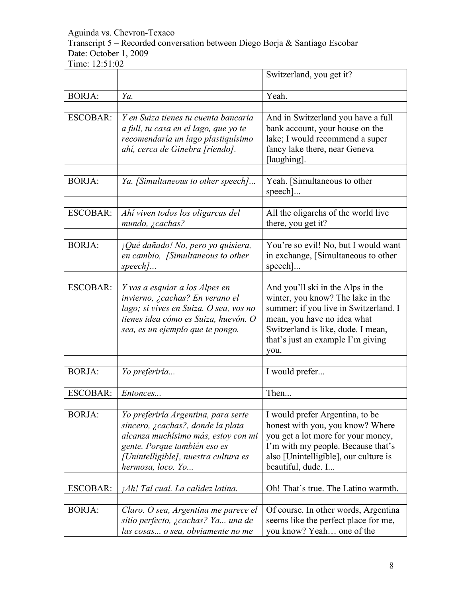Transcript 5 – Recorded conversation between Diego Borja & Santiago Escobar Date: October 1, 2009

|                 |                                                                                                                                                                                                              | Switzerland, you get it?                                                                                                                                                                                                          |
|-----------------|--------------------------------------------------------------------------------------------------------------------------------------------------------------------------------------------------------------|-----------------------------------------------------------------------------------------------------------------------------------------------------------------------------------------------------------------------------------|
| <b>BORJA:</b>   | Ya.                                                                                                                                                                                                          | Yeah.                                                                                                                                                                                                                             |
|                 |                                                                                                                                                                                                              |                                                                                                                                                                                                                                   |
| <b>ESCOBAR:</b> | Y en Suiza tienes tu cuenta bancaria<br>a full, tu casa en el lago, que yo te<br>recomendaría un lago plastiquísimo<br>ahí, cerca de Ginebra [riendo].                                                       | And in Switzerland you have a full<br>bank account, your house on the<br>lake; I would recommend a super<br>fancy lake there, near Geneva<br>[laughing].                                                                          |
| <b>BORJA:</b>   | Ya. [Simultaneous to other speech]                                                                                                                                                                           | Yeah. [Simultaneous to other<br>$specch$ ]                                                                                                                                                                                        |
| <b>ESCOBAR:</b> | Ahí viven todos los oligarcas del<br>$mundo, \; \gtrsim$ cachas?                                                                                                                                             | All the oligarchs of the world live<br>there, you get it?                                                                                                                                                                         |
| <b>BORJA:</b>   | ¡Qué dañado! No, pero yo quisiera,<br>en cambio, [Simultaneous to other<br>$speed$                                                                                                                           | You're so evil! No, but I would want<br>in exchange, [Simultaneous to other<br>$\text{speed}$                                                                                                                                     |
| <b>ESCOBAR:</b> | Y vas a esquiar a los Alpes en<br>invierno, ¿cachas? En verano el<br>lago; si vives en Suiza. O sea, vos no<br>tienes idea cómo es Suiza, huevón. O<br>sea, es un ejemplo que te pongo.                      | And you'll ski in the Alps in the<br>winter, you know? The lake in the<br>summer; if you live in Switzerland. I<br>mean, you have no idea what<br>Switzerland is like, dude. I mean,<br>that's just an example I'm giving<br>you. |
| <b>BORJA:</b>   | Yo preferiría                                                                                                                                                                                                | I would prefer                                                                                                                                                                                                                    |
| <b>ESCOBAR:</b> | Entonces                                                                                                                                                                                                     | Then                                                                                                                                                                                                                              |
| <b>BORJA:</b>   | Yo preferiría Argentina, para serte<br>sincero, ¿cachas?, donde la plata<br>alcanza muchísimo más, estoy con mi<br>gente. Porque también eso es<br>[Unintelligible], nuestra cultura es<br>hermosa, loco. Yo | I would prefer Argentina, to be<br>honest with you, you know? Where<br>you get a lot more for your money,<br>I'm with my people. Because that's<br>also [Unintelligible], our culture is<br>beautiful, dude. I                    |
| <b>ESCOBAR:</b> | ¡Ah! Tal cual. La calidez latina.                                                                                                                                                                            | Oh! That's true. The Latino warmth.                                                                                                                                                                                               |
| <b>BORJA:</b>   | Claro. O sea, Argentina me parece el<br>sitio perfecto, ¿cachas? Ya una de<br>las cosas o sea, obviamente no me                                                                                              | Of course. In other words, Argentina<br>seems like the perfect place for me,<br>you know? Yeah one of the                                                                                                                         |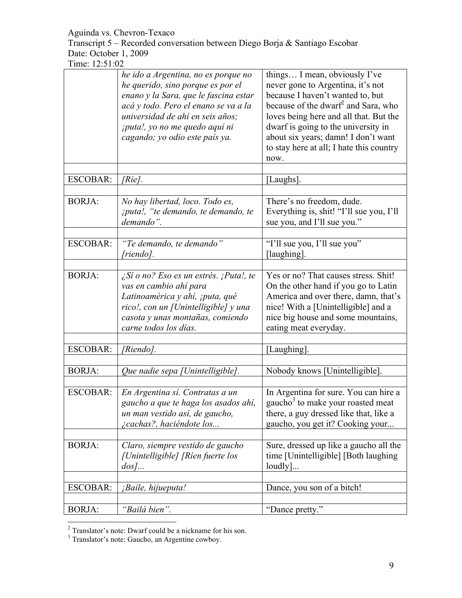Transcript 5 – Recorded conversation between Diego Borja & Santiago Escobar Date: October 1, 2009

|                 | he ido a Argentina, no es porque no<br>he querido, sino porque es por el<br>enano y la Sara, que le fascina estar<br>acá y todo. Pero el enano se va a la<br>universidad de ahí en seis años;<br><i>iputa!, yo no me quedo aquí ni</i><br>cagando; yo odio este país ya. | things I mean, obviously I've<br>never gone to Argentina, it's not<br>because I haven't wanted to, but<br>because of the dwarf <sup>2</sup> and Sara, who<br>loves being here and all that. But the<br>dwarf is going to the university in<br>about six years; damn! I don't want<br>to stay here at all; I hate this country<br>now. |
|-----------------|--------------------------------------------------------------------------------------------------------------------------------------------------------------------------------------------------------------------------------------------------------------------------|---------------------------------------------------------------------------------------------------------------------------------------------------------------------------------------------------------------------------------------------------------------------------------------------------------------------------------------|
| <b>ESCOBAR:</b> | [Rie].                                                                                                                                                                                                                                                                   | [Laughs].                                                                                                                                                                                                                                                                                                                             |
| <b>BORJA:</b>   | No hay libertad, loco. Todo es,<br><i>iputa!, "te demando, te demando, te</i><br>demando".                                                                                                                                                                               | There's no freedom, dude.<br>Everything is, shit! "I'll sue you, I'll<br>sue you, and I'll sue you."                                                                                                                                                                                                                                  |
| <b>ESCOBAR:</b> | "Te demando, te demando"<br>[riendo].                                                                                                                                                                                                                                    | "I'll sue you, I'll sue you"<br>[laughing].                                                                                                                                                                                                                                                                                           |
| <b>BORJA:</b>   | $\zeta$ Sí o no? Eso es un estrés. ¡Puta!, te<br>vas en cambio ahí para<br>Latinoamérica y ahí, ¡puta, qué<br>rico!, con un [Unintelligible] y una<br>casota y unas montañas, comiendo<br>carne todos los días.                                                          | Yes or no? That causes stress. Shit!<br>On the other hand if you go to Latin<br>America and over there, damn, that's<br>nice! With a [Unintelligible] and a<br>nice big house and some mountains,<br>eating meat everyday.                                                                                                            |
| <b>ESCOBAR:</b> | [Riendo].                                                                                                                                                                                                                                                                | [Laughing].                                                                                                                                                                                                                                                                                                                           |
| <b>BORJA:</b>   | Que nadie sepa [Unintelligible].                                                                                                                                                                                                                                         | Nobody knows [Unintelligible].                                                                                                                                                                                                                                                                                                        |
| <b>ESCOBAR:</b> | En Argentina sí. Contratas a un<br>gaucho a que te haga los asados ahí,<br>un man vestido así, de gaucho,<br><i>i</i> cachas?, haciéndote los                                                                                                                            | In Argentina for sure. You can hire a<br>gaucho <sup>3</sup> to make your roasted meat<br>there, a guy dressed like that, like a<br>gaucho, you get it? Cooking your                                                                                                                                                                  |
| <b>BORJA:</b>   | Claro, siempre vestido de gaucho<br>[Unintelligible] [Rien fuerte los<br>$d_{OS}$                                                                                                                                                                                        | Sure, dressed up like a gaucho all the<br>time [Unintelligible] [Both laughing]<br>loudly]                                                                                                                                                                                                                                            |
| <b>ESCOBAR:</b> | ¡Baile, hijueputa!                                                                                                                                                                                                                                                       | Dance, you son of a bitch!                                                                                                                                                                                                                                                                                                            |
| <b>BORJA:</b>   | "Bailá bien".                                                                                                                                                                                                                                                            | "Dance pretty."                                                                                                                                                                                                                                                                                                                       |

<sup>&</sup>lt;sup>2</sup> Translator's note: Dwarf could be a nickname for his son.

<sup>&</sup>lt;sup>3</sup> Translator's note: Gaucho, an Argentine cowboy.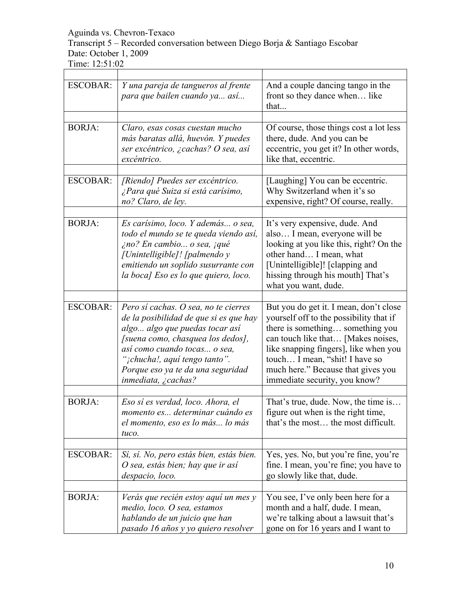Transcript 5 – Recorded conversation between Diego Borja & Santiago Escobar Date: October 1, 2009

Time: 12:51:02

| <b>ESCOBAR:</b> | Y una pareja de tangueros al frente<br>para que bailen cuando ya así                                                                                                                                                                                                                            | And a couple dancing tango in the<br>front so they dance when like<br>that                                                                                                                                                                                                                                    |
|-----------------|-------------------------------------------------------------------------------------------------------------------------------------------------------------------------------------------------------------------------------------------------------------------------------------------------|---------------------------------------------------------------------------------------------------------------------------------------------------------------------------------------------------------------------------------------------------------------------------------------------------------------|
| <b>BORJA:</b>   | Claro, esas cosas cuestan mucho<br>más baratas allá, huevón. Y puedes<br>ser excéntrico, ¿cachas? O sea, así<br>excéntrico.                                                                                                                                                                     | Of course, those things cost a lot less<br>there, dude. And you can be<br>eccentric, you get it? In other words,<br>like that, eccentric.                                                                                                                                                                     |
| <b>ESCOBAR:</b> | [Riendo] Puedes ser excéntrico.<br>¿Para qué Suiza si está carísimo,<br>no? Claro, de ley.                                                                                                                                                                                                      | [Laughing] You can be eccentric.<br>Why Switzerland when it's so<br>expensive, right? Of course, really.                                                                                                                                                                                                      |
| <b>BORJA:</b>   | Es carísimo, loco. Y además o sea,<br>todo el mundo se te queda viendo así,<br>¿no? En cambio o sea, ¡qué<br>[Unintelligible]! [palmendo y<br>emitiendo un soplido susurrante con<br>la boca] Eso es lo que quiero, loco.                                                                       | It's very expensive, dude. And<br>also I mean, everyone will be<br>looking at you like this, right? On the<br>other hand I mean, what<br>[Unintelligible]! [clapping and<br>hissing through his mouth] That's<br>what you want, dude.                                                                         |
| <b>ESCOBAR:</b> | Pero sí cachas. O sea, no te cierres<br>de la posibilidad de que si es que hay<br>algo algo que puedas tocar así<br>[suena como, chasquea los dedos],<br>así como cuando tocas o sea,<br>" <sub>j</sub> chucha!, aquí tengo tanto".<br>Porque eso ya te da una seguridad<br>inmediata, ¿cachas? | But you do get it. I mean, don't close<br>yourself off to the possibility that if<br>there is something something you<br>can touch like that [Makes noises,<br>like snapping fingers], like when you<br>touch I mean, "shit! I have so<br>much here." Because that gives you<br>immediate security, you know? |
| <b>BORJA:</b>   | Eso sí es verdad, loco. Ahora, el<br>momento es determinar cuándo es<br>el momento, eso es lo más lo más<br>tuco.                                                                                                                                                                               | That's true, dude. Now, the time is<br>figure out when is the right time,<br>that's the most the most difficult.                                                                                                                                                                                              |
| <b>ESCOBAR:</b> | Sí, sí. No, pero estás bien, estás bien.<br>O sea, estás bien; hay que ir así<br>despacio, loco.                                                                                                                                                                                                | Yes, yes. No, but you're fine, you're<br>fine. I mean, you're fine; you have to<br>go slowly like that, dude.                                                                                                                                                                                                 |
| <b>BORJA:</b>   | Verás que recién estoy aquí un mes y<br>medio, loco. O sea, estamos<br>hablando de un juicio que han<br>pasado 16 años y yo quiero resolver                                                                                                                                                     | You see, I've only been here for a<br>month and a half, dude. I mean,<br>we're talking about a lawsuit that's<br>gone on for 16 years and I want to                                                                                                                                                           |

 $\overline{\phantom{a}}$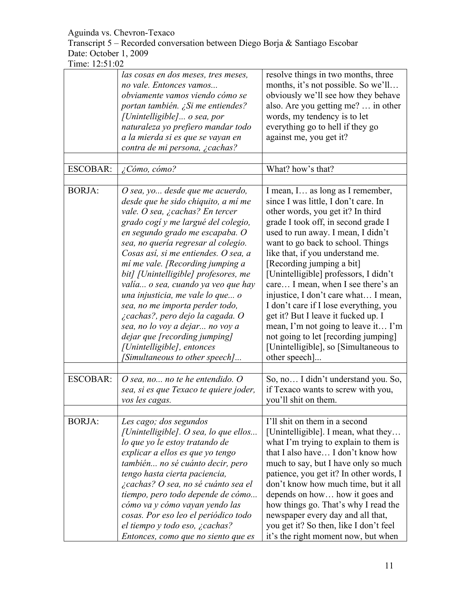Transcript 5 – Recorded conversation between Diego Borja & Santiago Escobar Date: October 1, 2009

|                 | las cosas en dos meses, tres meses,<br>no vale. Entonces vamos<br>obviamente vamos viendo cómo se<br>portan también. ¿Si me entiendes?<br>[Unintelligible] o sea, por<br>naturaleza yo prefiero mandar todo<br>a la mierda si es que se vayan en<br>contra de mi persona, ¿cachas?                                                                                                                                                                                                                                                                                                                                                  | resolve things in two months, three<br>months, it's not possible. So we'll<br>obviously we'll see how they behave<br>also. Are you getting me?  in other<br>words, my tendency is to let<br>everything go to hell if they go<br>against me, you get it?                                                                                                                                                                                                                                                                                                                                                                                            |
|-----------------|-------------------------------------------------------------------------------------------------------------------------------------------------------------------------------------------------------------------------------------------------------------------------------------------------------------------------------------------------------------------------------------------------------------------------------------------------------------------------------------------------------------------------------------------------------------------------------------------------------------------------------------|----------------------------------------------------------------------------------------------------------------------------------------------------------------------------------------------------------------------------------------------------------------------------------------------------------------------------------------------------------------------------------------------------------------------------------------------------------------------------------------------------------------------------------------------------------------------------------------------------------------------------------------------------|
|                 |                                                                                                                                                                                                                                                                                                                                                                                                                                                                                                                                                                                                                                     |                                                                                                                                                                                                                                                                                                                                                                                                                                                                                                                                                                                                                                                    |
| <b>ESCOBAR:</b> | ¿Cómo, cómo?                                                                                                                                                                                                                                                                                                                                                                                                                                                                                                                                                                                                                        | What? how's that?                                                                                                                                                                                                                                                                                                                                                                                                                                                                                                                                                                                                                                  |
| <b>BORJA:</b>   | O sea, yo desde que me acuerdo,<br>desde que he sido chiquito, a mí me<br>vale. O sea, ¿cachas? En tercer<br>grado cogí y me largué del colegio,<br>en segundo grado me escapaba. O<br>sea, no quería regresar al colegio.<br>Cosas así, si me entiendes. O sea, a<br>mí me vale. [Recording jumping a<br>bit] [Unintelligible] profesores, me<br>valía o sea, cuando ya veo que hay<br>una injusticia, me vale lo que o<br>sea, no me importa perder todo,<br>¿cachas?, pero dejo la cagada. O<br>sea, no lo voy a dejar no voy a<br>dejar que [recording jumping]<br>[Unintelligible], entonces<br>[Simultaneous to other speech] | I mean, I as long as I remember,<br>since I was little, I don't care. In<br>other words, you get it? In third<br>grade I took off, in second grade I<br>used to run away. I mean, I didn't<br>want to go back to school. Things<br>like that, if you understand me.<br>[Recording jumping a bit]<br>[Unintelligible] professors, I didn't<br>care I mean, when I see there's an<br>injustice, I don't care what I mean,<br>I don't care if I lose everything, you<br>get it? But I leave it fucked up. I<br>mean, I'm not going to leave it I'm<br>not going to let [recording jumping]<br>[Unintelligible], so [Simultaneous to]<br>other speech] |
| <b>ESCOBAR:</b> | O sea, no no te he entendido. O<br>sea, si es que Texaco te quiere joder,<br>vos les cagas.                                                                                                                                                                                                                                                                                                                                                                                                                                                                                                                                         | So, no I didn't understand you. So,<br>if Texaco wants to screw with you,<br>you'll shit on them.                                                                                                                                                                                                                                                                                                                                                                                                                                                                                                                                                  |
| <b>BORJA:</b>   | Les cago; dos segundos                                                                                                                                                                                                                                                                                                                                                                                                                                                                                                                                                                                                              | I'll shit on them in a second                                                                                                                                                                                                                                                                                                                                                                                                                                                                                                                                                                                                                      |
|                 | [Unintelligible]. O sea, lo que ellos<br>lo que yo le estoy tratando de<br>explicar a ellos es que yo tengo<br>también no sé cuánto decir, pero<br>tengo hasta cierta paciencia,<br>¿cachas? O sea, no sé cuánto sea el<br>tiempo, pero todo depende de cómo<br>cómo va y cómo vayan yendo las<br>cosas. Por eso leo el periódico todo<br>el tiempo y todo eso, ¿cachas?<br>Entonces, como que no siento que es                                                                                                                                                                                                                     | [Unintelligible]. I mean, what they<br>what I'm trying to explain to them is<br>that I also have I don't know how<br>much to say, but I have only so much<br>patience, you get it? In other words, I<br>don't know how much time, but it all<br>depends on how how it goes and<br>how things go. That's why I read the<br>newspaper every day and all that,<br>you get it? So then, like I don't feel<br>it's the right moment now, but when                                                                                                                                                                                                       |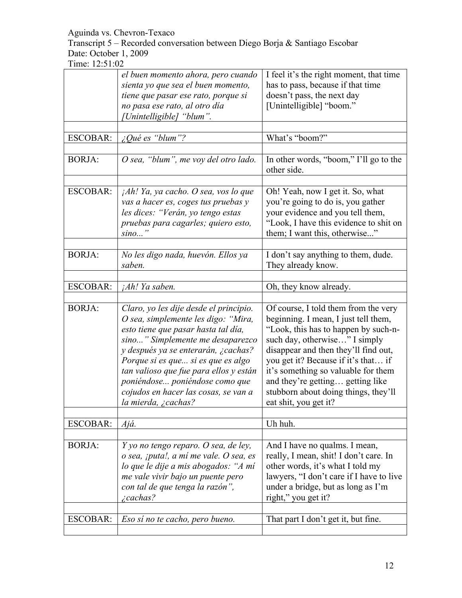Transcript 5 – Recorded conversation between Diego Borja & Santiago Escobar Date: October 1, 2009

|                 | el buen momento ahora, pero cuando             | I feel it's the right moment, that time               |
|-----------------|------------------------------------------------|-------------------------------------------------------|
|                 | sienta yo que sea el buen momento,             | has to pass, because if that time                     |
|                 | tiene que pasar ese rato, porque si            | doesn't pass, the next day                            |
|                 | no pasa ese rato, al otro día                  | [Unintelligible] "boom."                              |
|                 | [Unintelligible] "blum".                       |                                                       |
|                 |                                                |                                                       |
| <b>ESCOBAR:</b> | $\mathcal{L}$ Qué es "blum"?                   | What's "boom?"                                        |
|                 |                                                |                                                       |
| <b>BORJA:</b>   | O sea, "blum", me voy del otro lado.           | In other words, "boom," I'll go to the<br>other side. |
|                 |                                                |                                                       |
| <b>ESCOBAR:</b> | ¡Ah! Ya, ya cacho. O sea, vos lo que           | Oh! Yeah, now I get it. So, what                      |
|                 | vas a hacer es, coges tus pruebas y            | you're going to do is, you gather                     |
|                 | les dices: "Verán, yo tengo estas              | your evidence and you tell them,                      |
|                 | pruebas para cagarles; quiero esto,            | "Look, I have this evidence to shit on                |
|                 | $sino$ "                                       | them; I want this, otherwise"                         |
|                 |                                                |                                                       |
| <b>BORJA:</b>   | No les digo nada, huevón. Ellos ya             | I don't say anything to them, dude.                   |
|                 | saben.                                         | They already know.                                    |
|                 |                                                |                                                       |
| <b>ESCOBAR:</b> | <i>jAh! Ya saben.</i>                          | Oh, they know already.                                |
|                 |                                                |                                                       |
| <b>BORJA:</b>   | Claro, yo les dije desde el principio.         | Of course, I told them from the very                  |
|                 |                                                |                                                       |
|                 | O sea, simplemente les digo: "Mira,            | beginning. I mean, I just tell them,                  |
|                 | esto tiene que pasar hasta tal día,            | "Look, this has to happen by such-n-                  |
|                 | sino" Simplemente me desaparezco               | such day, otherwise" I simply                         |
|                 | y después ya se enterarán, ¿cachas?            | disappear and then they'll find out,                  |
|                 | Porque si es que si es que es algo             | you get it? Because if it's that if                   |
|                 | tan valioso que fue para ellos y están         | it's something so valuable for them                   |
|                 | poniéndose poniéndose como que                 | and they're getting getting like                      |
|                 | cojudos en hacer las cosas, se van a           | stubborn about doing things, they'll                  |
|                 | la mierda, ¿cachas?                            | eat shit, you get it?                                 |
|                 |                                                |                                                       |
| ESCOBAR:        | Ajá.                                           | Uh huh.                                               |
|                 |                                                |                                                       |
| <b>BORJA:</b>   | Y yo no tengo reparo. O sea, de ley,           | And I have no qualms. I mean,                         |
|                 | o sea, ¡puta!, a mí me vale. O sea, es         | really, I mean, shit! I don't care. In                |
|                 |                                                |                                                       |
|                 | lo que le dije a mis abogados: "A mí           | other words, it's what I told my                      |
|                 | me vale vivir bajo un puente pero              | lawyers, "I don't care if I have to live              |
|                 | con tal de que tenga la razón",<br>$i$ cachas? | under a bridge, but as long as I'm                    |
|                 |                                                | right," you get it?                                   |
|                 |                                                |                                                       |
| <b>ESCOBAR:</b> | Eso sí no te cacho, pero bueno.                | That part I don't get it, but fine.                   |